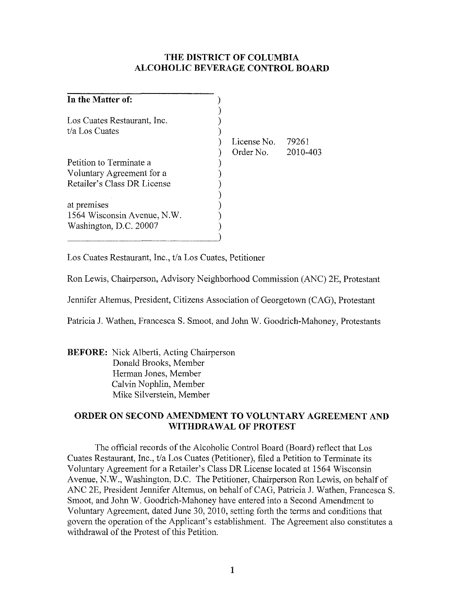## **THE DISTRICT OF COLUMBIA ALCOHOLIC BEVERAGE CONTROL BOARD**

| In the Matter of:           |             |          |
|-----------------------------|-------------|----------|
| Los Cuates Restaurant, Inc. |             |          |
| t/a Los Cuates              | License No. | 79261    |
|                             | Order No.   | 2010-403 |
| Petition to Terminate a     |             |          |
| Voluntary Agreement for a   |             |          |
| Retailer's Class DR License |             |          |
| at premises                 |             |          |
| 1564 Wisconsin Avenue, N.W. |             |          |
| Washington, D.C. 20007      |             |          |
|                             |             |          |

Los Cuates Restaurant, Inc., *tla* Los Cuates, Petitioner

Ron Lewis, Chairperson, Advisory Neighborhood Commission (ANC) 2E, Protestaot

Jennifer Altemus, President, Citizens Association of Georgetown (CAG), Protestaot

Patricia J. Wathen, Francesca S. Smoot, and John W. Goodrich-Mahoney, Protestants

**BEFORE:** Nick Alberti, Acting Chairperson Donald Brooks, Member Herman Jones, Member Calvin Nophlin, Member Mike Silverstein, Member

## **ORDER ON SECOND AMENDMENT TO VOLUNTARY AGREEMENT** AND **WITHDRAWAL OF PROTEST**

The official records of the Alcoholic Control Board (Board) reflect that Los Cuates Restaurant, Inc., *tla* Los Cuates (Petitioner), filed a Petition to Terminate its Voluntary Agreement for a Retailer's Class DR License located at 1564 Wisconsin Avenue, N.W., Washington, D.C. The Petitioner, Chairperson Ron Lewis, on behalf of ANC 2E, President Jennifer Altemus, on behalf of CAG, Patricia J. Wathen, Francesca S. Smoot, and John W. Goodrich-Mahoney have entered into a Second Amendment to Voluntary Agreement, dated June 30, 2010, setting forth the terms and conditions that govern the operation of the Applicant's establishment. The Agreement also constitutes a withdrawal of the Protest of this Petition.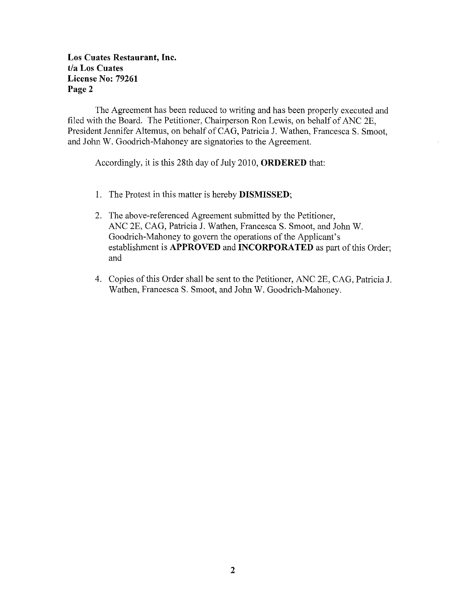## Los Cuates Restaurant, Inc. **tla Los Cuates License** No: **79261**  Page 2

The Agreement has been reduced to writing and has been properly executed and filed with the Board. The Petitioner, Chairperson Ron Lewis, on behalf of ANC 2E, President Jennifer Altemus, on behalf of CAG, Patricia J. Wathen, Francesca S. Smoot, and John W. Goodrich-Mahoney are signatories to the Agreement.

Accordingly, it is this 28th day of July 2010, **ORDERED** that:

- 1. The Protest in this matter is hereby **DISMISSED;**
- 2. The above-referenced Agreement submitted by the Petitioner, ANC 2E, CAG, Patricia J. Wathen, Francesca S. Smoot, and John W. Goodrich-Mahoney to govern the operations of the Applicant's establishment is **APPROVED** and **INCORPORATED** as part of this Order; and
- 4. Copies of this Order shall be sent to the Petitioner, ANC 2E, CAG, Patricia J. Wathen, Francesca S. Smoot, and John W. Goodrich-Mahoney.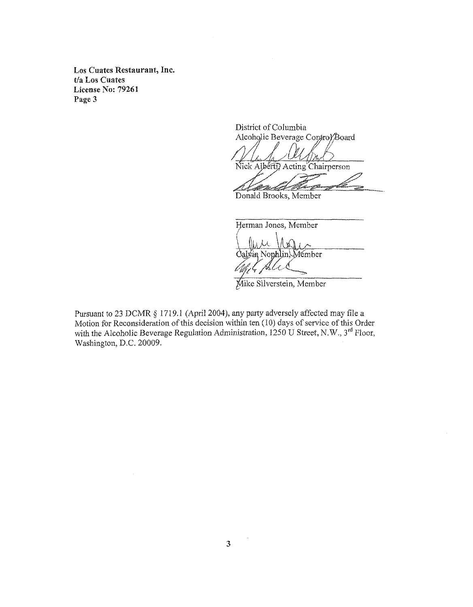**Los Cuates Restaurant, Inc. tla Los Cuates License No: 79261 Page 3** 

> District of Columbia Alcoholic Beverage Control/Board

Nick Alberty Acting Chairperson

Donald Brooks, Member

Herman Jones, Member valvin Nophlin, Member<br>*(M<sub>I</sub>I*, *Juli*ce

Mike Silverstein, Member

Pursuant to 23 **DCMR** § 1719.1 (April 2004), any party adversely affected may file a Motion for Reconsideration of this decision within ten (10) days of service of this Order with the Alcoholic Beverage Regulation Administration, 1250 U Street, N.W.,  $3^{rd}$  Floor, Washington, D.C. 20009.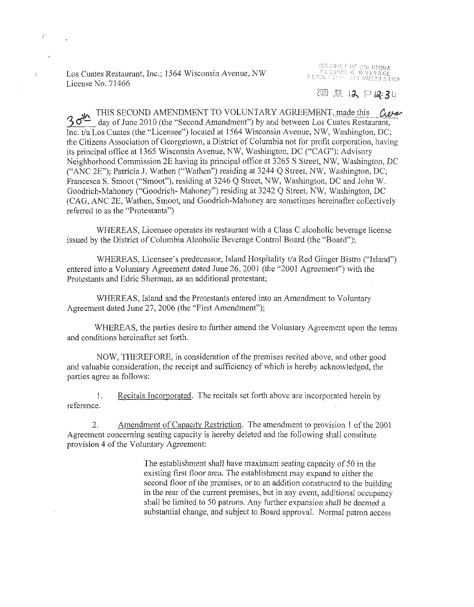Los Cuates Restaurant, Inc.; ]564 Wisconsin Avenue, NW License No. 71466

P.

k.

OBSTRIET OF COLUMBIA<br>" ALCOHOLIC BEVERAGE<br>" REGULE 719M ASTIRISTRATION

 $2011$   $111$   $12$   $12$   $12$   $13$   $1$ 

 $30^{\text{th}}$  THIS SECOND AMENDMENT TO VOLUNTARY AGREEMENT, made this  $\omega \ll 30^{\text{th}}$  day of June 2010 (the "Second Amendment") by and between Los Cuates Restaurant, Inc. tia Los Cuates (the "Licensee") located at 1564 Wisconsin Avenue, NW, Washington, DC; the Citizens Association of Georgetown, a District of Columbia not for profit corporation, having its principal office at 1365 Wisconsin Avenue, NW, Washington, DC ("CAG"); Advisory Neighborhood Commission 2E having its principal office at 3265 S Street, NW, Washington, DC ("ANC 2E"); Patricia J. Wathen ("Wathen") residing at  $3244$  Q Street, NW, Washington, DC; Francesca S. Smoot ("Smoot"), residing at 3246 Q Street, NW, Washington, DC and John W. Goodrich-Mahoney ("Goodrich- Mahoney") residing at 3242 Q Street, NW, Washington, DC (CAG, ANC 2E, Wathen, Smoot, and Goodrich-Mahoney are sometimes hereinafter collectively referred to as the "Protestants")

WHEREAS, Licensee operates its restaurant with a Class C alcoholic beverage license issued by the District of Columbia Alcoholic Beverage Control Board (the "Board");

WHEREAS, Licensee's predecessor, Island Hospitality *tla* Red Ginger Bistro ("Island") entered into a Voluntary Agreement dated June 26, 2001 (the "2001 Agreement") with the Protestants and Edric Sherman, as an additional protestant;

WHEREAS, Island and the Protestants entered into an Amendment to Voluntary Agreement dated June 27, 2006 (the "First Amendment");

WHEREAS, the parties desire to further amend the Voluntary Agreement upon the terms and conditions hereinafter set forth.

NOW, THEREFORE, in consideration of the premises recited above, and other good and valuable consideration, the receipt and sufficiency of which is hereby acknowledged, the parties agree as follows:

1. Recitals Incorporated. The recitals set forth above are incorporated herein by reference.

2. Amendment of Capacity Restriction. The amendment to provision 1 of the 2001 Agreement concerning seating capacity is hereby deleted and the following shall constitute provision 4 of the Voluntary Agreement:

> The establishment shall have maximum seating capacity of 50 in the existing first floor area. The establishment may expand to either the second floor of the premises, or to an addition constructed to the building in the rear of the current premises, but in any event, additional occupancy shall be limited to 50 patrons. Any further expansion shall be deemed a substantial change, and subject to Board approval. Normal patron access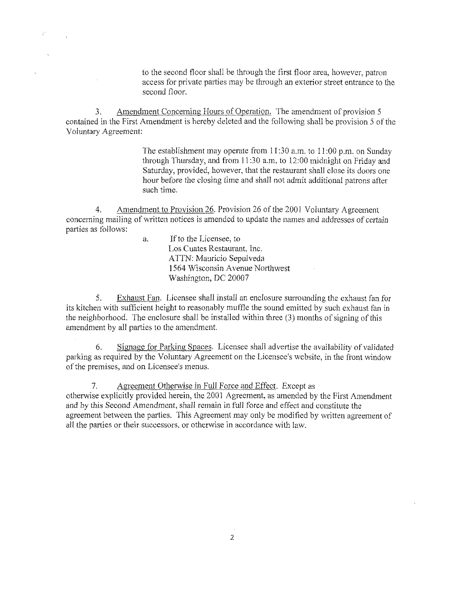to the second floor shall be through the first floor area, however, patron access for private parties may be through an exterior street entrance to the second floor,

3. Amendment Concerning Hours of Operation. The amendment of provision 5 contained in the First Amendment is hereby deleted and the following shall be provision 5 of the Voluntary Agreement:

> The establishment may operate from 11:30 a.m. to 11:00 p.m. on Sunday through Thursday, and from II :30 a.m. to 12:00 midnight on Friday and Saturday, provided, however, that the restaurant shall close its doors one hour before the closing time and shall not admit additional patrons after such time.

Amendment to Provision 26. Provision 26 of the 2001 Voluntary Agreement concerning mailing of written notices is amended to update the names and addresses of certain parties as follows:

> a. If to the Licensee, to Los Cuates Restaurant, Inc. ATTN: Mauricio Sepulveda 1564 Wisconsin Avenue Northwest Washington, DC 20007

5. Exhaust Fan. Licensee shall install an enclosure surrounding the exhaust fan for its kitchen with sufficient height to reasonably muffle the sound emitted by such exhaust fan in the neighborhood. The enclosure shall be installed within three (3) months of signing of this amendment by all parties to the amendment.

6. Signage for Parking Spaces. Licensee shall advertise the availability of validated parking as required by the Voluntary Agreement on the Licensee's website, in the front window of the premises, and on Licensee's menus.

7. Agreement Otherwise in Full Force and Effect. Except as otherwise explicitly provided herein, the 2001 Agreement, as amended by the First Amendment and by this Second Amendment, shall remain in full force and effect and constitute the agreement between the parties. This Agreement may only be modified by written agreement of all the parties or their successors, or otherwise in accordance with law.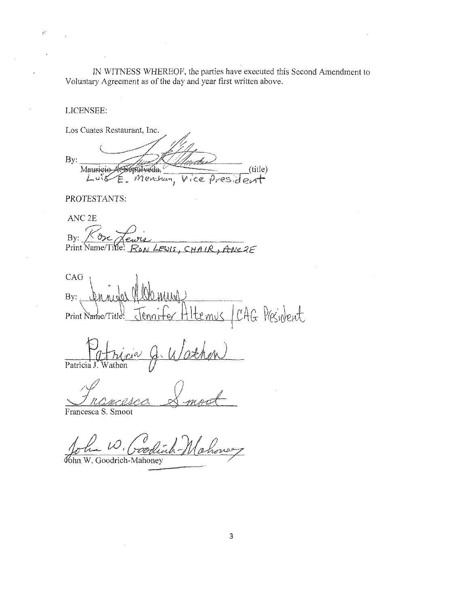IN WITNESS WHEREOF, the parties have executed this Second Amendment to Voluntary Agreement as of the day and year first written above.

LICENSEE:

Los Cuates Restaurant, Inc. By: (title) Maurieioépülvéda, E. Menchan.  $L \circ S$ Vice ves

PROTESTANTS:

ANC<sub>2E</sub>  $By:$ RON LEWIS, CHAIR, ANC2E Print Name/Title

CAG By: CAG President Print Name/Titl emus

Patricia J. Wathen

Francesca S. Smoot

John W. Coodi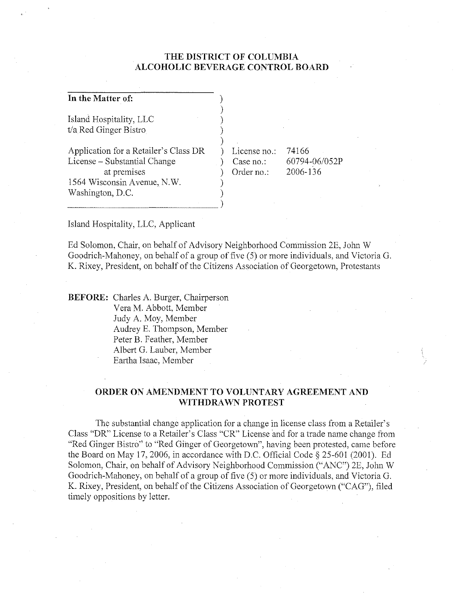## **THE DISTRICT OF COLUMBIA ALCOHOLIC BEVERAGE CONTROL BOARD**

| In the Matter of:                                                                                                                       |                                         |                                    |
|-----------------------------------------------------------------------------------------------------------------------------------------|-----------------------------------------|------------------------------------|
| Island Hospitality, LLC<br>t/a Red Ginger Bistro                                                                                        |                                         |                                    |
| Application for a Retailer's Class DR<br>License – Substantial Change<br>at premises<br>1564 Wisconsin Avenue, N.W.<br>Washington, D.C. | License no.:<br>Case no.:<br>Order no.: | 74166<br>60794-06/052P<br>2006-136 |

Island Hospitality, LLC, Applicant

Ed Solomon, Chair, on behalf of Advisory Neighborhood Commission 2E, John W Goodrich-Mahoney, on behalf of a group of five (5) or more individuals, and Victoria G. K. Rixey, President, on behalf of the Citizens Association of Georgetown, Protestants

**BEFORE:** Charles A. Burger, Chairperson Vera M. Abbott, Member Judy A. Moy, Member Audrey E. Thompson, Member Peter B. Feather, Member Albert G. Lauber, Member Eartha Isaac, Member

### **ORDER ON AMENDMENT TO VOLUNTARY AGREEMENT AND WITHDRAWN PROTEST**

The substantial change application for a change in license class from a Retailer's Class "DR" License to a Retailer's Class "CR" License and for a trade name change from "Red Ginger Bistro" to "Red Ginger of Georgetown", having been protested, came before the Board on May 17,2006, in accordance with D.C. Official Code § 25-601 (2001). Ed Solomon, Chair, on behalf of Advisory Neighborhood Commission ("ANC") 2E, John W Goodrich-Mahoney, on behalf of a group of five (5) or more individuals, and Victoria G. K. Rixey, President, on behalf of the Citizens Association of Georgetown ("CAG"), filed timely oppositions by letter.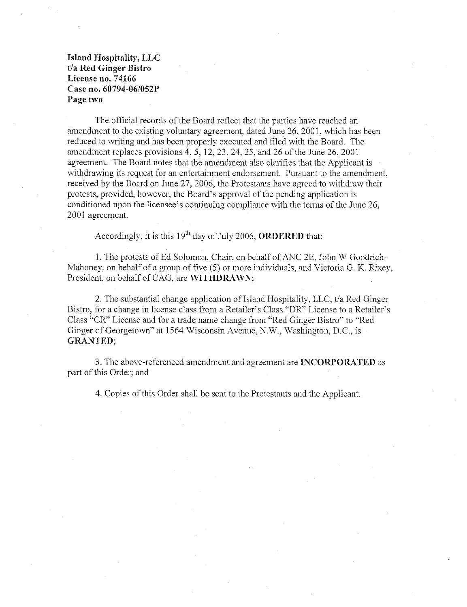Island Hospitality, LLC t/a Red Ginger Bistro License no. 74166 Case no. 60794-06/052P Page two

The official records of the Board reflect that the parties have reached an amendment to the existing voluntary agreement, dated June 26, 2001, which has been reduced to writing and has been properly executed and filed with the Board. The amendment replaces provisions 4,5,12,23,24,25, and 26 of the June 26, 2001 agreement. The Board notes that the amendment also clarifies that the Applicant is withdrawing its request for an entertainment endorsement. Pursuant to the amendment, received by the Board on June 27, 2006, the Protestants have agreed to withdraw their protests, provided, however, the Board's approval of the pending application is conditioned upon the licensee's continuing compliance with the terms of the June 26, 2001 agreement.

Accordingly, it is this  $19<sup>th</sup>$  day of July 2006, **ORDERED** that:

1. The protests of Ed Solomon, Chair, on behalf of ANC 2E, John W Goodrich-Mahoney, on behalf of a group of five  $(5)$  or more individuals, and Victoria G. K. Rixey, President, on behalf of CAG, are WITHDRAWN;

2. The substantial change application of Island Hospitality, LLC, t/a Red Ginger Bistro, for a change in license class from a Retailer's Class "DR" License to a Retailer's Class "CR" License and for a trade name change from "Red Ginger Bistro" to "Red Ginger of Georgetown" at 1564 Wisconsin Avenue, N.W., Washington, D.C., is GRANTED;

3. The above-referenced amendment and agreement are INCORPORATED as part of this Order; and

4. Copies of this Order shall be sent to the Protestants and the Applicant.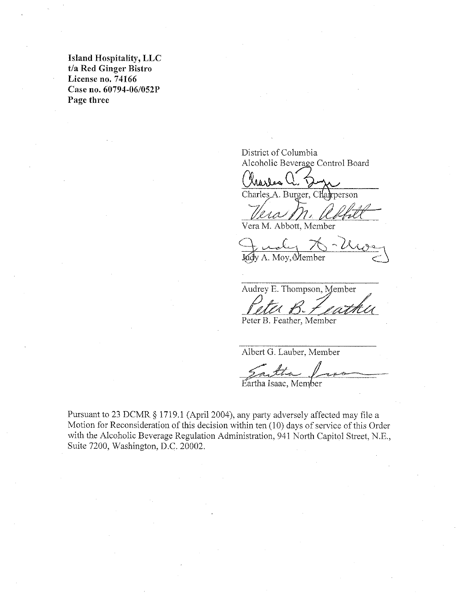Island Hospitality, LLC t/a Red Ginger Bistro License no. 74166 Case no. 60794-06/052P Page three

District of Columbia<br>Alcoholic Beverage Control Board

Charles A. Burger, Chairperson

VeraM. Abbott, Member

Judy A. Moy, Member

Audrey E. Thompson, Member <u>Ilva D-1 Lugna</u>

Peter B. Feather, Member

Albert G. Lauber, Member

Fartha Isaac, Member

Pursuant to 23 DCMR § 1719.l (April 2004), any party adversely affected may file a Motion for Reconsideration of this decision within ten (10) days of service of this Order with the Alcoholic Beverage Regulation Administration, 941 North Capitol Street, N.E., Suite 7200, Washington, D.C. 20002.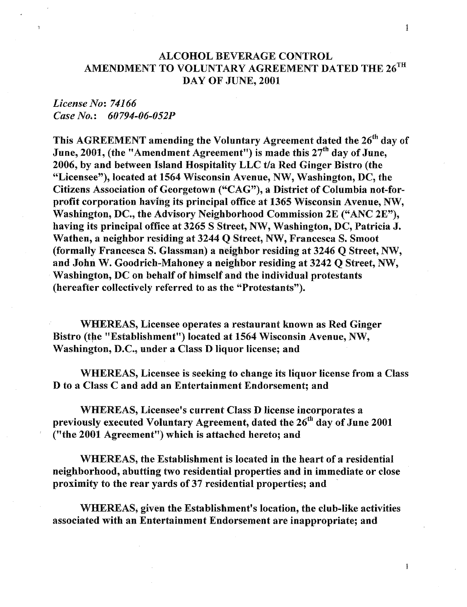## ALCOHOL BEVERAGE CONTROL AMENDMENT TO VOLUNTARY AGREEMENT DATED THE  $26^{\text{TH}}$ DAY OF JUNE, 2001

## *License No: 74166 Case No.: 60794-06-052P*

This AGREEMENT amending the Voluntary Agreement dated the  $26<sup>th</sup>$  day of June, 2001, (the "Amendment Agreement") is made this 27<sup>th</sup> day of June, 2006, by and between Island Hospitality LLC *tla* Red Ginger Bistro (the "Licensee"), located at 1564 Wisconsin Avenue, NW, Washington, DC, the Citizens Association of Georgetown ("CAG"), a District of Columbia not-forprofit corporation having its principal office at 1365 Wisconsin Avenue, NW, Washington, DC., the Advisory Neighborhood Commission 2E ("ANC 2E"), having its principal office at 3265 S Street, NW, Washington, DC, Patricia J. Wathen, a neighbor residing at 3244 Q Street, NW, Francesca S. Smoot (formally Francesca S. Glassman) a neighbor residing at 3246 Q Street, NW, and John W. Goodrich-Mahoney a neighbor residing at 3242 Q Street, NW, Washington, DC on behalf of himself and the individual protestants (hereafter collectively referred to as the "Protestants").

WHEREAS, Licensee operates a restaurant known as Red Ginger Bistro (the "Establishment") located at 1564 Wisconsin Avenue, NW, Washington, D.C., under a Class D liquor license; and

WHEREAS, Licensee is seeking to change its liquor license from a Class D to a Class C and add an Entertainment Endorsement; and

WHEREAS, Licensee's current Class D license incorporates a previously executed Voluntary Agreement, dated the  $26<sup>th</sup>$  day of June 2001 ("the 2001 Agreement") which is attached hereto; and

WHEREAS, the Establishment is located in the heart of a residential neighborhood, abutting two residential properties and in immediate or close proximity to the rear yards of 37 residential properties; and

WHEREAS, given the Establishment's location, the club-like activities associated with an Entertainment Endorsement are inappropriate; and

 $\mathbf{1}$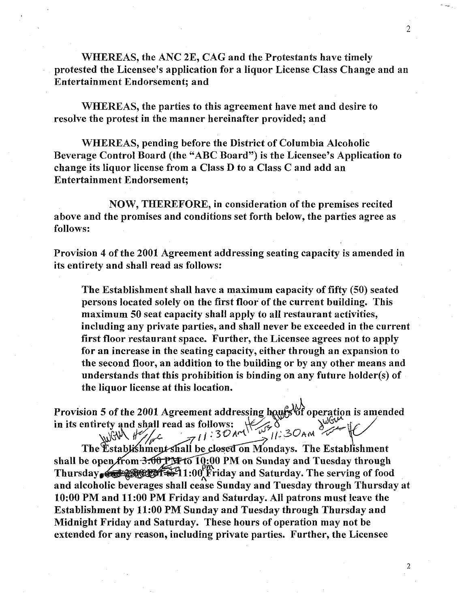WHEREAS, the ANC 2E, CAG and the Protestants have timely protested the Licensee's application for a liquor License Class Change and an Entertainment Endorsement; and

WHEREAS, the parties to this agreement have met and desire to resolve the protest in the manner hereinafter provided; and

WHEREAS, pending before the District of Columbia Alcoholic Beverage Control Board (the "ABC Board") is the Licensee's Application to change its liquor license from a Class D to a Class C and add an Entertainment Endorsement;

NOW, THEREFORE, in consideration of the premises recited above and the promises and conditions set forth below, the parties agree as follows:

Provision 4 of the 2001 Agreement addressing seating capacity is amended in its entirety and shall read as follows:

The Establishment shall have a maximum capacity of fifty (50) seated persons located solely on the first floor of the current building. This maximum 50 seat capacity shall apply to all restaurant activities, including any private parties, and shall never be exceeded in the current first floor restaurant space. Further, the Licensee agrees not to apply for an increase in the seating capacity, either through an expansion to the second floor, an addition to the building or by any other means and understands that this prohibition is binding on any future holder(s) of the liquor license at this location.

Provision 5 of the 2001 Agreement addressing hours<sup>tof</sup> operation is amended in its entirety and shall read as follows:  $\frac{1}{2}$ ,  $\frac{1}{30}$  and  $\frac{1}{30}$  and  $\frac{1}{30}$  in  $\frac{1}{30}$  and  $\frac{1}{30}$ entirety and shall read as follows:  $\sqrt{2\pi}$ <br>The Establishment shall be closed on Mondays. The Establishment

shall be open from  $3.00~$  PM to  $10:00~$  PM on Sunday and Tuesday through Thursday  $\mathcal{L}$  is  $\mathcal{L}$  if  $\mathcal{L}$  if  $\mathcal{L}$  if  $\mathcal{L}$  if  $\mathcal{L}$  and Saturday. The serving of food and alcoholic beverages shall cease Sunday and Tuesday through Thursday at 10:00 PM and 11:00 PM Friday and Saturday. All patrons must leave the Establishment by 11:00 PM Sunday and Tuesday through Thursday and Midnight Friday and Saturday. These hours of operation may not be extended for any reason, including private parties. Further, the Licensee

2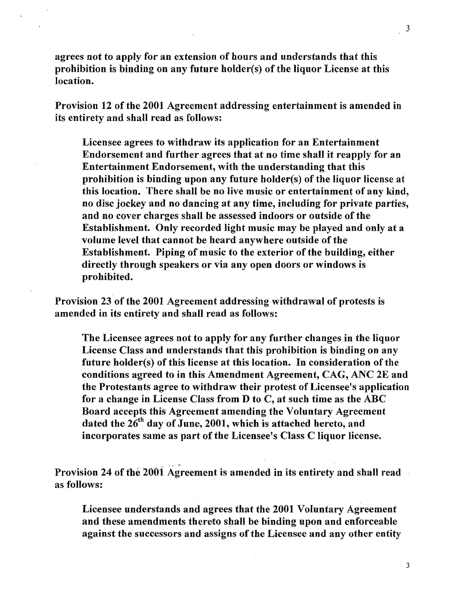agrees not to apply for an extension of honrs and understands that this prohibition is binding on any future holder(s) of the liquor License at this location.

Provision 12 of the 2001 Agreement addressing entertainment is amended in its entirety and shall read as follows:

Licensee agrees to withdraw its application for an Entertainment Endorsement and further agrees that at no time shall it reapply for an Entertainment Endorsement, with the understanding that this prohibition is binding upon any future holder(s) of the liquor license at this location. There shall be no live music or entertainment of any kind, no disc jockey and no dancing at any time, including for private parties, and no cover charges shall be assessed indoors or outside of the Establishment. Only recorded light music may be played and only at a volume level tbat cannot be heard anywhere outside of the Establishment. Piping of music to the exterior of the building, either directly through speakers or via any open doors or windows is probibited.

Provision 23 of the 2001 Agreement addressing witbdrawal of protests is amended in its entirety and shall read as follows:

The Licensee agrees not to apply for any further changes in the liquor License Class and understands that this prohibition is binding on any future holder(s) of this license at this location. In consideration of the conditions agreed to in this Amendment Agreement, CAG, ANC 2E and the Protestants agree to withdraw their protest of Licensee's application for a change in License Class from D to C, at such time as the ABC Board accepts this Agreement amending the Voluntary Agreement dated the  $26^{th}$  day of June, 2001, which is attached hereto, and incorporates same as part of the Licensee's Class C liquor license.

Provision 24 of the 2001 Agreement is amended in its entirety and shall read as follows:

Licensee understands and agrees that the 2001 Voluntary Agreement and these amendments thereto shall be binding upon and enforceable against the successors and assigns of the Licensee and any other entity

3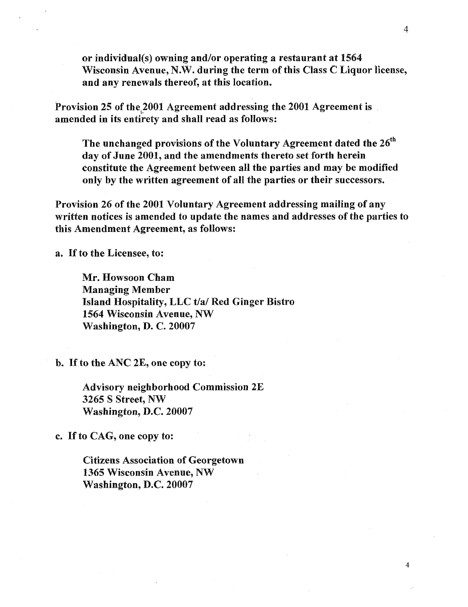or individual(s) owning and/or operating a restaurant at 1564 Wisconsin Avenue, N.W. during the term of this Class C Liquor license, and any renewals thereof, at this location.

Provision 25 of the 2001 Agreement addressing the 2001 Agreement is amended in its entirety and shall read as follows:

The unchanged provisions of the Voluntary Agreement dated the  $26<sup>th</sup>$ day of June 2001, and the amendments thereto set forth herein constitute the Agreement between all the parties and may be modified only by the written agreement of all the parties or their successors.

Provision 26 of the 2001 Voluntary Agreement addressing mailing of any written notices is amended to update the names and addresses of the parties to this Amendment Agreement, as follows:

a. If to the Licensee, to:

Mr. Howsoon Cham Managing Member Island Hospitality, LLC t/a/ Red Ginger Bistro 1564 Wisconsin Avenue, NW Washington, D. C. 20007

b. If to the ANC 2E, one copy to:

Advisory neighborhood Commission 2E 3265 S Street, NW Washington, D.C. 20007

c. If to CAG, one copy to:

Citizens Association of Georgetown 1365 Wisconsin Avenue, NW Washington, D.C. 20007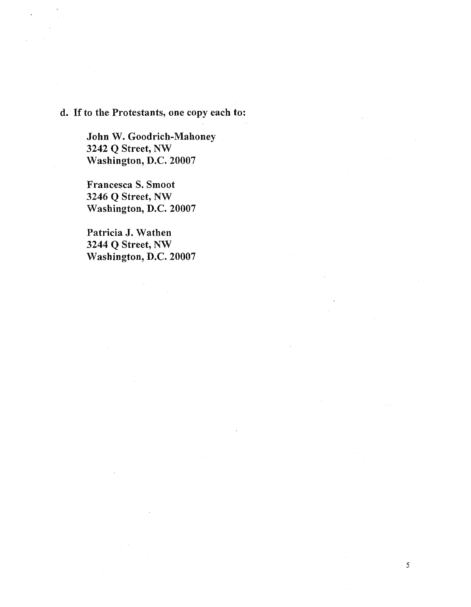# d. If to the Protestants, one copy each to:

John W. Goodrich-Mahoney 3242 Q Street, NW Washington, D.C. 20007

Francesca S. Smoot 3246 Q Street, NW Washington, D.C. 20007

Patricia **J.** Wathen 3244 Q Street, NW Washington, D.C. 20007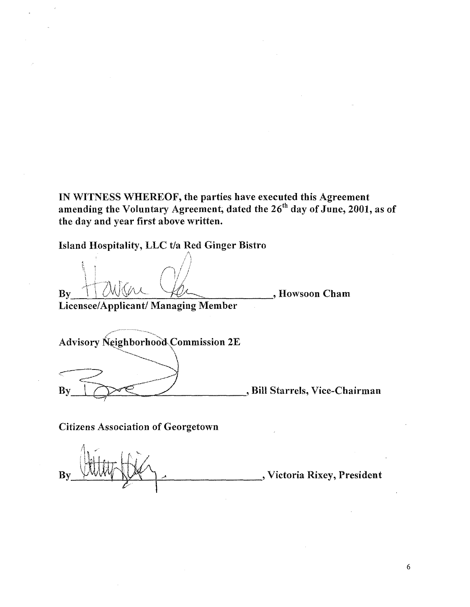IN WITNESS WHEREOF, the parties have executed this Agreement amending the Voluntary Agreement, dated the 26 $^{\rm th}$  day of June, 2001, as of the day and year first above written.

Island Hospitality, LLC t/a Red Ginger Bistro /\

! \  $/$  .i  $\| \cdot \|$  $B_y$  , Howsoon Cham

Licensee/Applicant/ Managing Member

Advisory Neighborhood Commission 2E By  $\bigcup_{n\in\mathbb{N}}$ , Bill Starrels, Vice-Chairman

Citizens Association of Georgetown

, Victoria Rixey, President By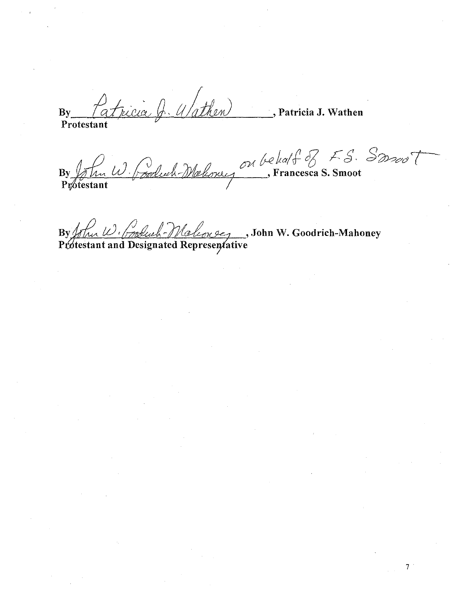By Patricia Q. Wathen , Patricia **J.** Wathen Protestant

By John W. Cooluch Maloney on behalf of F.S. Somot

7 .

 $By 1$  (1) booked-Malcone, John W. Goodrich-Mahoney Protestant and Designated Representative